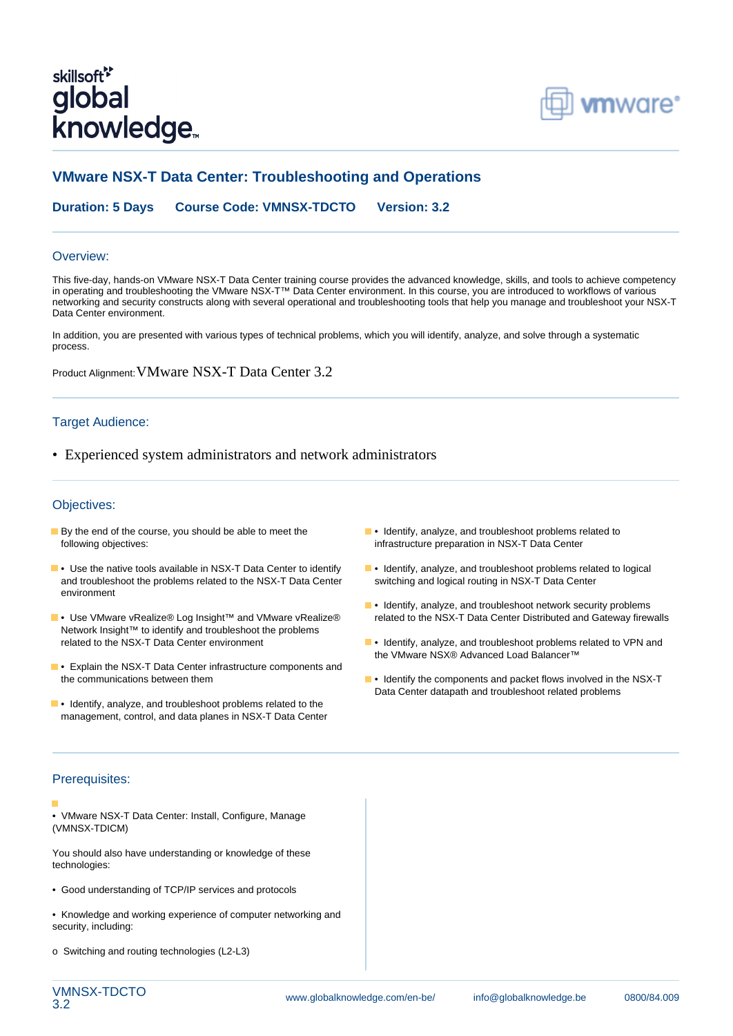# skillsoft<sup>\*</sup> global knowledge<sub>™</sub>



## **VMware NSX-T Data Center: Troubleshooting and Operations**

**Duration: 5 Days Course Code: VMNSX-TDCTO Version: 3.2**

#### Overview:

This five-day, hands-on VMware NSX-T Data Center training course provides the advanced knowledge, skills, and tools to achieve competency in operating and troubleshooting the VMware NSX-T™ Data Center environment. In this course, you are introduced to workflows of various networking and security constructs along with several operational and troubleshooting tools that help you manage and troubleshoot your NSX-T Data Center environment.

In addition, you are presented with various types of technical problems, which you will identify, analyze, and solve through a systematic process.

Product Alignment:VMware NSX-T Data Center 3.2

#### Target Audience:

• Experienced system administrators and network administrators

#### Objectives:

- By the end of the course, you should be able to meet the **•** Identify, analyze, and troubleshoot problems related to following objectives: infrastructure preparation in NSX-T Data Center
- **•** Use the native tools available in NSX-T Data Center to identify **•** Identify, analyze, and troubleshoot problems related to logical and troubleshoot the problems related to the NSX-T Data Center switching and logical routing in NSX-T Data Center environment
- Network Insight™ to identify and troubleshoot the problems related to the NSX-T Data Center environment
- **•** Explain the NSX-T Data Center infrastructure components and
- **•** Identify, analyze, and troubleshoot problems related to the management, control, and data planes in NSX-T Data Center
- 
- 
- **•** Identify, analyze, and troubleshoot network security problems • Use VMware vRealize® Log Insight™ and VMware vRealize® related to the NSX-T Data Center Distributed and Gateway firewalls
	- $\blacksquare$  Identify, analyze, and troubleshoot problems related to VPN and the VMware NSX® Advanced Load Balancer™
	- the communications between them  **Interest in the Components** and packet flows involved in the NSX-T Data Center datapath and troubleshoot related problems

#### Prerequisites:

- 
- VMware NSX-T Data Center: Install, Configure, Manage (VMNSX-TDICM)

You should also have understanding or knowledge of these technologies:

- Good understanding of TCP/IP services and protocols
- Knowledge and working experience of computer networking and security, including:
- o Switching and routing technologies (L2-L3)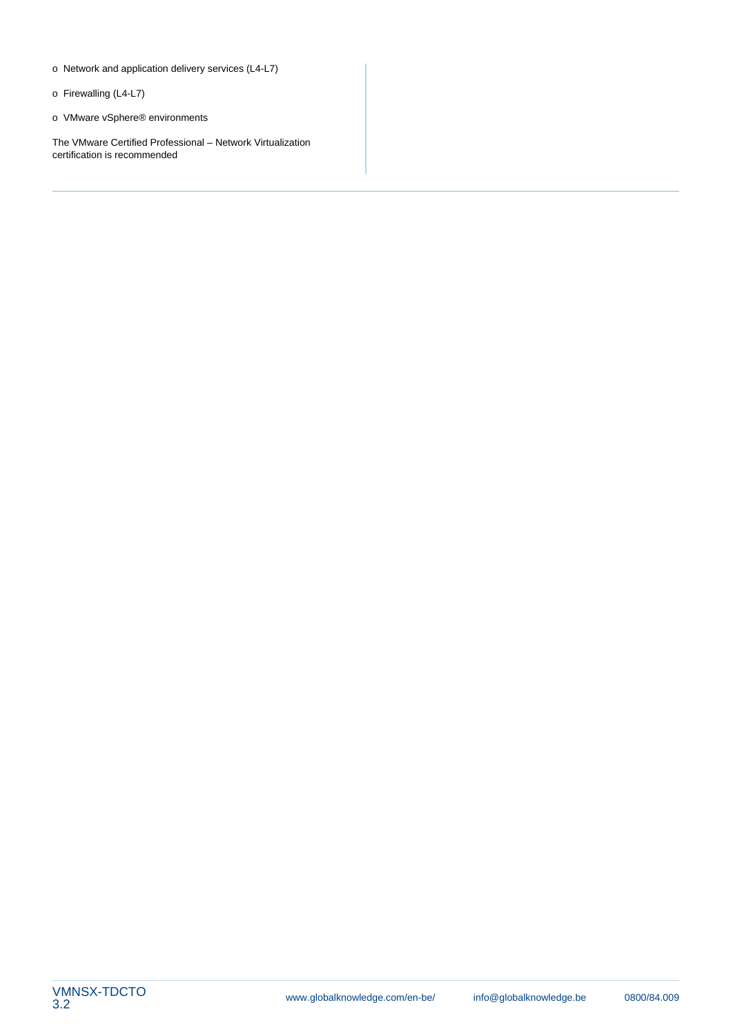- o Network and application delivery services (L4-L7)
- o Firewalling (L4-L7)
- o VMware vSphere® environments

The VMware Certified Professional – Network Virtualization certification is recommended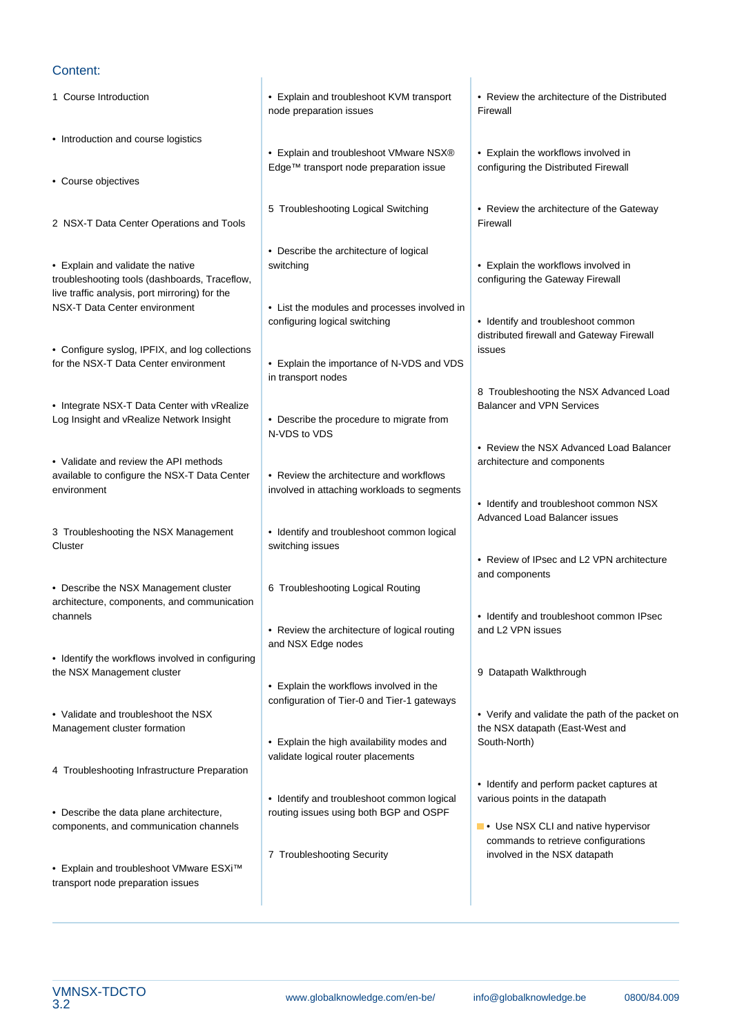#### Content:

1 Course Introduction **• Explain and troubleshoot KVM transport** • Review the architecture of the Distributed node preparation issues Firewall line line • Introduction and course logistics • Explain and troubleshoot VMware NSX® • Explain the workflows involved in Edge™ transport node preparation issue configuring the Distributed Firewall • Course objectives 5 Troubleshooting Logical Switching • Review the architecture of the Gateway 2 NSX-T Data Center Operations and Tools line Firewall and Firewall Firewall line line • Describe the architecture of logical • Explain and validate the native switching in switching explain the workflows involved in troubleshooting tools (dashboards, Traceflow, line configuring the Gateway Firewall live traffic analysis, port mirroring) for the NSX-T Data Center environment • List the modules and processes involved in configuring logical switching example  $\bullet$  Identify and troubleshoot common distributed firewall and Gateway Firewall • Configure syslog, IPFIX, and log collections issues issues issues for the NSX-T Data Center environment • Explain the importance of N-VDS and VDS in transport nodes 8 Troubleshooting the NSX Advanced Load • Integrate NSX-T Data Center with vRealize Balancer and VPN Services Log Insight and vRealize Network Insight • Describe the procedure to migrate from N-VDS to VDS • Review the NSX Advanced Load Balancer • Validate and review the API methods and components architecture and components available to configure the NSX-T Data Center • Review the architecture and workflows environment involved in attaching workloads to segments • Identify and troubleshoot common NSX Advanced Load Balancer issues 3 Troubleshooting the NSX Management • Identify and troubleshoot common logical **Cluster** Switching issues • Review of IPsec and L2 VPN architecture and components • Describe the NSX Management cluster | 6 Troubleshooting Logical Routing architecture, components, and communication channels • Identify and troubleshoot common IPsec • Review the architecture of logical routing and L2 VPN issues and NSX Edge nodes • Identify the workflows involved in configuring the NSX Management cluster **9** Datapath Walkthrough • Explain the workflows involved in the configuration of Tier-0 and Tier-1 gateways • Validate and troubleshoot the NSX line is expected by the verify and validate the path of the packet on Management cluster formation the NSX datapath (East-West and • Explain the high availability modes and South-North) validate logical router placements 4 Troubleshooting Infrastructure Preparation • Identify and perform packet captures at • Identify and troubleshoot common logical various points in the datapath • Describe the data plane architecture, a contrary linear postes using both BGP and OSPF components, and communication channels line is a line of the value of the value of  $\blacksquare \bullet \square$  Use NSX CLI and native hypervisor commands to retrieve configurations 7 Troubleshooting Security **involved in the NSX datapath** • Explain and troubleshoot VMware ESXi™ transport node preparation issues